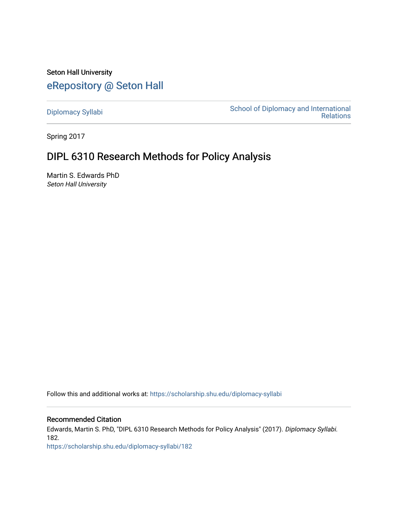Seton Hall University [eRepository @ Seton Hall](https://scholarship.shu.edu/)

[Diplomacy Syllabi](https://scholarship.shu.edu/diplomacy-syllabi) [School of Diplomacy and International](https://scholarship.shu.edu/diplomacy)  [Relations](https://scholarship.shu.edu/diplomacy) 

Spring 2017

# DIPL 6310 Research Methods for Policy Analysis

Martin S. Edwards PhD Seton Hall University

Follow this and additional works at: [https://scholarship.shu.edu/diplomacy-syllabi](https://scholarship.shu.edu/diplomacy-syllabi?utm_source=scholarship.shu.edu%2Fdiplomacy-syllabi%2F182&utm_medium=PDF&utm_campaign=PDFCoverPages) 

Recommended Citation

Edwards, Martin S. PhD, "DIPL 6310 Research Methods for Policy Analysis" (2017). Diplomacy Syllabi. 182.

[https://scholarship.shu.edu/diplomacy-syllabi/182](https://scholarship.shu.edu/diplomacy-syllabi/182?utm_source=scholarship.shu.edu%2Fdiplomacy-syllabi%2F182&utm_medium=PDF&utm_campaign=PDFCoverPages)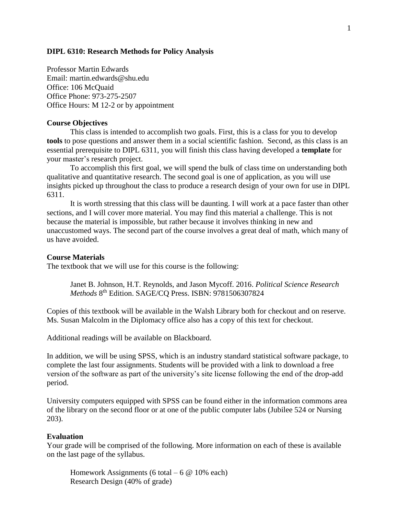#### **DIPL 6310: Research Methods for Policy Analysis**

Professor Martin Edwards Email: martin.edwards@shu.edu Office: 106 McQuaid Office Phone: 973-275-2507 Office Hours: M 12-2 or by appointment

#### **Course Objectives**

This class is intended to accomplish two goals. First, this is a class for you to develop **tools** to pose questions and answer them in a social scientific fashion. Second, as this class is an essential prerequisite to DIPL 6311, you will finish this class having developed a **template** for your master's research project.

To accomplish this first goal, we will spend the bulk of class time on understanding both qualitative and quantitative research. The second goal is one of application, as you will use insights picked up throughout the class to produce a research design of your own for use in DIPL 6311.

It is worth stressing that this class will be daunting. I will work at a pace faster than other sections, and I will cover more material. You may find this material a challenge. This is not because the material is impossible, but rather because it involves thinking in new and unaccustomed ways. The second part of the course involves a great deal of math, which many of us have avoided.

#### **Course Materials**

The textbook that we will use for this course is the following:

Janet B. Johnson, H.T. Reynolds, and Jason Mycoff. 2016. *Political Science Research*  Methods 8<sup>th</sup> Edition. SAGE/CQ Press. ISBN: 9781506307824

Copies of this textbook will be available in the Walsh Library both for checkout and on reserve. Ms. Susan Malcolm in the Diplomacy office also has a copy of this text for checkout.

Additional readings will be available on Blackboard.

In addition, we will be using SPSS, which is an industry standard statistical software package, to complete the last four assignments. Students will be provided with a link to download a free version of the software as part of the university's site license following the end of the drop-add period.

University computers equipped with SPSS can be found either in the information commons area of the library on the second floor or at one of the public computer labs (Jubilee 524 or Nursing 203).

#### **Evaluation**

Your grade will be comprised of the following. More information on each of these is available on the last page of the syllabus.

Homework Assignments (6 total – 6  $\omega$  10% each) Research Design (40% of grade)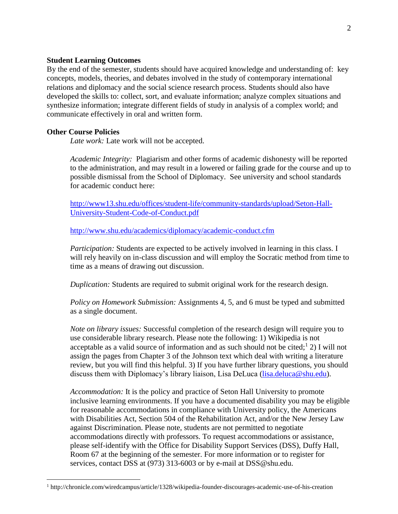## **Student Learning Outcomes**

By the end of the semester, students should have acquired knowledge and understanding of: key concepts, models, theories, and debates involved in the study of contemporary international relations and diplomacy and the social science research process. Students should also have developed the skills to: collect, sort, and evaluate information; analyze complex situations and synthesize information; integrate different fields of study in analysis of a complex world; and communicate effectively in oral and written form.

## **Other Course Policies**

 $\overline{a}$ 

*Late work:* Late work will not be accepted.

*Academic Integrity:* Plagiarism and other forms of academic dishonesty will be reported to the administration, and may result in a lowered or failing grade for the course and up to possible dismissal from the School of Diplomacy. See university and school standards for academic conduct here:

[http://www13.shu.edu/offices/student-life/community-standards/upload/Seton-Hall-](http://www13.shu.edu/offices/student-life/community-standards/upload/Seton-Hall-University-Student-Code-of-Conduct.pdf)[University-Student-Code-of-Conduct.pdf](http://www13.shu.edu/offices/student-life/community-standards/upload/Seton-Hall-University-Student-Code-of-Conduct.pdf)

<http://www.shu.edu/academics/diplomacy/academic-conduct.cfm>

*Participation:* Students are expected to be actively involved in learning in this class. I will rely heavily on in-class discussion and will employ the Socratic method from time to time as a means of drawing out discussion.

*Duplication:* Students are required to submit original work for the research design.

*Policy on Homework Submission:* Assignments 4, 5, and 6 must be typed and submitted as a single document.

*Note on library issues:* Successful completion of the research design will require you to use considerable library research. Please note the following: 1) Wikipedia is not acceptable as a valid source of information and as such should not be cited;  $\frac{1}{2}$ ) I will not assign the pages from Chapter 3 of the Johnson text which deal with writing a literature review, but you will find this helpful. 3) If you have further library questions, you should discuss them with Diplomacy's library liaison, Lisa DeLuca [\(lisa.deluca@shu.edu\)](mailto:lisa.deluca@shu.edu).

*Accommodation:* It is the policy and practice of Seton Hall University to promote inclusive learning environments. If you have a documented disability you may be eligible for reasonable accommodations in compliance with University policy, the Americans with Disabilities Act, Section 504 of the Rehabilitation Act, and/or the New Jersey Law against Discrimination. Please note, students are not permitted to negotiate accommodations directly with professors. To request accommodations or assistance, please self-identify with the Office for Disability Support Services (DSS), Duffy Hall, Room 67 at the beginning of the semester. For more information or to register for services, contact DSS at (973) 313-6003 or by e-mail at DSS@shu.edu.

<sup>&</sup>lt;sup>1</sup> http://chronicle.com/wiredcampus/article/1328/wikipedia-founder-discourages-academic-use-of-his-creation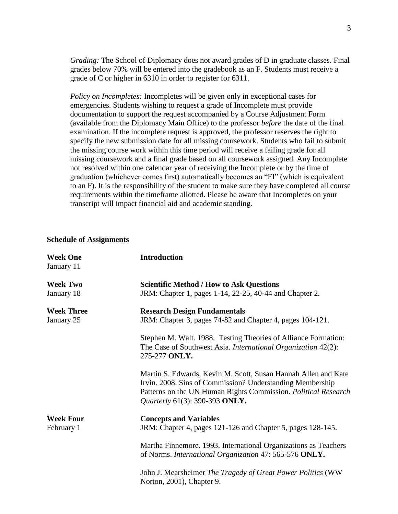*Grading:* The School of Diplomacy does not award grades of D in graduate classes. Final grades below 70% will be entered into the gradebook as an F. Students must receive a grade of C or higher in 6310 in order to register for 6311.

*Policy on Incompletes:* Incompletes will be given only in exceptional cases for emergencies. Students wishing to request a grade of Incomplete must provide documentation to support the request accompanied by a Course Adjustment Form (available from the Diplomacy Main Office) to the professor *before* the date of the final examination. If the incomplete request is approved, the professor reserves the right to specify the new submission date for all missing coursework. Students who fail to submit the missing course work within this time period will receive a failing grade for all missing coursework and a final grade based on all coursework assigned. Any Incomplete not resolved within one calendar year of receiving the Incomplete or by the time of graduation (whichever comes first) automatically becomes an "FI" (which is equivalent to an F). It is the responsibility of the student to make sure they have completed all course requirements within the timeframe allotted. Please be aware that Incompletes on your transcript will impact financial aid and academic standing.

#### **Schedule of Assignments**

| <b>Week One</b><br>January 11   | <b>Introduction</b>                                                                                                                                                                                                             |
|---------------------------------|---------------------------------------------------------------------------------------------------------------------------------------------------------------------------------------------------------------------------------|
| <b>Week Two</b><br>January 18   | <b>Scientific Method / How to Ask Questions</b><br>JRM: Chapter 1, pages 1-14, 22-25, 40-44 and Chapter 2.                                                                                                                      |
| <b>Week Three</b><br>January 25 | <b>Research Design Fundamentals</b><br>JRM: Chapter 3, pages 74-82 and Chapter 4, pages 104-121.                                                                                                                                |
|                                 | Stephen M. Walt. 1988. Testing Theories of Alliance Formation:<br>The Case of Southwest Asia. International Organization 42(2):<br>275-277 ONLY.                                                                                |
|                                 | Martin S. Edwards, Kevin M. Scott, Susan Hannah Allen and Kate<br>Irvin. 2008. Sins of Commission? Understanding Membership<br>Patterns on the UN Human Rights Commission. Political Research<br>Quarterly 61(3): 390-393 ONLY. |
| <b>Week Four</b><br>February 1  | <b>Concepts and Variables</b><br>JRM: Chapter 4, pages 121-126 and Chapter 5, pages 128-145.                                                                                                                                    |
|                                 | Martha Finnemore. 1993. International Organizations as Teachers<br>of Norms. International Organization 47: 565-576 ONLY.                                                                                                       |
|                                 | John J. Mearsheimer The Tragedy of Great Power Politics (WW<br>Norton, 2001), Chapter 9.                                                                                                                                        |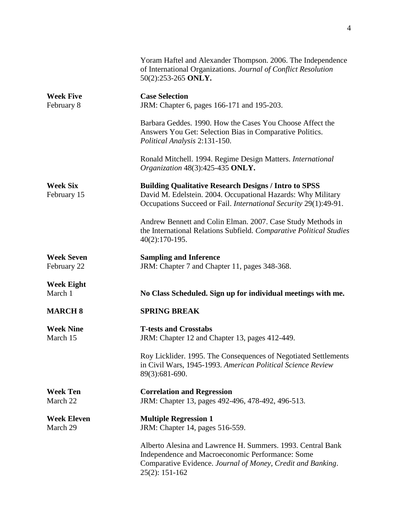|                                  | Yoram Haftel and Alexander Thompson. 2006. The Independence<br>of International Organizations. Journal of Conflict Resolution<br>50(2):253-265 ONLY.                                               |
|----------------------------------|----------------------------------------------------------------------------------------------------------------------------------------------------------------------------------------------------|
| <b>Week Five</b><br>February 8   | <b>Case Selection</b><br>JRM: Chapter 6, pages 166-171 and 195-203.                                                                                                                                |
|                                  | Barbara Geddes. 1990. How the Cases You Choose Affect the<br>Answers You Get: Selection Bias in Comparative Politics.<br>Political Analysis 2:131-150.                                             |
|                                  | Ronald Mitchell. 1994. Regime Design Matters. International<br>Organization 48(3):425-435 ONLY.                                                                                                    |
| <b>Week Six</b><br>February 15   | <b>Building Qualitative Research Designs / Intro to SPSS</b><br>David M. Edelstein. 2004. Occupational Hazards: Why Military<br>Occupations Succeed or Fail. International Security 29(1):49-91.   |
|                                  | Andrew Bennett and Colin Elman. 2007. Case Study Methods in<br>the International Relations Subfield. Comparative Political Studies<br>$40(2):170-195.$                                             |
| <b>Week Seven</b><br>February 22 | <b>Sampling and Inference</b><br>JRM: Chapter 7 and Chapter 11, pages 348-368.                                                                                                                     |
| <b>Week Eight</b><br>March 1     | No Class Scheduled. Sign up for individual meetings with me.                                                                                                                                       |
| <b>MARCH 8</b>                   | <b>SPRING BREAK</b>                                                                                                                                                                                |
| <b>Week Nine</b><br>March 15     | <b>T-tests and Crosstabs</b><br>JRM: Chapter 12 and Chapter 13, pages 412-449.                                                                                                                     |
|                                  | Roy Licklider. 1995. The Consequences of Negotiated Settlements<br>in Civil Wars, 1945-1993. American Political Science Review<br>89(3):681-690.                                                   |
| <b>Week Ten</b><br>March 22      | <b>Correlation and Regression</b><br>JRM: Chapter 13, pages 492-496, 478-492, 496-513.                                                                                                             |
| <b>Week Eleven</b><br>March 29   | <b>Multiple Regression 1</b><br>JRM: Chapter 14, pages 516-559.                                                                                                                                    |
|                                  | Alberto Alesina and Lawrence H. Summers. 1993. Central Bank<br>Independence and Macroeconomic Performance: Some<br>Comparative Evidence. Journal of Money, Credit and Banking.<br>$25(2): 151-162$ |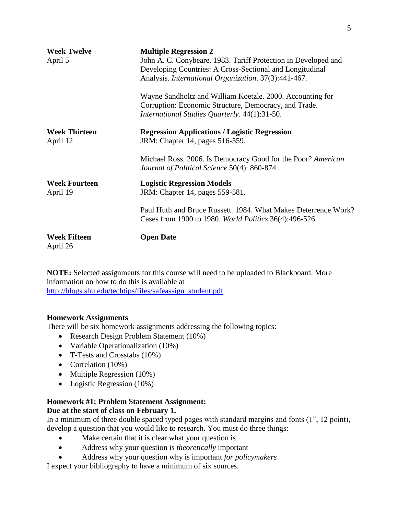| <b>Week Twelve</b><br>April 5    | <b>Multiple Regression 2</b><br>John A. C. Conybeare. 1983. Tariff Protection in Developed and<br>Developing Countries: A Cross-Sectional and Longitudinal<br>Analysis. International Organization. 37(3):441-467.<br>Wayne Sandholtz and William Koetzle. 2000. Accounting for<br>Corruption: Economic Structure, Democracy, and Trade.<br>International Studies Quarterly. 44(1):31-50. |
|----------------------------------|-------------------------------------------------------------------------------------------------------------------------------------------------------------------------------------------------------------------------------------------------------------------------------------------------------------------------------------------------------------------------------------------|
| <b>Week Thirteen</b><br>April 12 | <b>Regression Applications / Logistic Regression</b><br>JRM: Chapter 14, pages 516-559.                                                                                                                                                                                                                                                                                                   |
|                                  | Michael Ross. 2006. Is Democracy Good for the Poor? American<br>Journal of Political Science 50(4): 860-874.                                                                                                                                                                                                                                                                              |
| <b>Week Fourteen</b><br>April 19 | <b>Logistic Regression Models</b><br>JRM: Chapter 14, pages 559-581.                                                                                                                                                                                                                                                                                                                      |
|                                  | Paul Huth and Bruce Russett. 1984. What Makes Deterrence Work?<br>Cases from 1900 to 1980. World Politics 36(4):496-526.                                                                                                                                                                                                                                                                  |
| <b>Week Fifteen</b><br>April 26  | <b>Open Date</b>                                                                                                                                                                                                                                                                                                                                                                          |

**NOTE:** Selected assignments for this course will need to be uploaded to Blackboard. More information on how to do this is available at [http://blogs.shu.edu/techtips/files/safeassign\\_student.pdf](http://blogs.shu.edu/techtips/files/safeassign_student.pdf)

## **Homework Assignments**

There will be six homework assignments addressing the following topics:

- Research Design Problem Statement (10%)
- Variable Operationalization (10%)
- T-Tests and Crosstabs (10%)
- Correlation (10%)
- Multiple Regression (10%)
- Logistic Regression (10%)

# **Homework #1: Problem Statement Assignment:**

# **Due at the start of class on February 1.**

In a minimum of three double spaced typed pages with standard margins and fonts (1", 12 point), develop a question that you would like to research. You must do three things:

- Make certain that it is clear what your question is
- Address why your question is *theoretically* important
- Address why your question why is important *for policymakers*

I expect your bibliography to have a minimum of six sources.